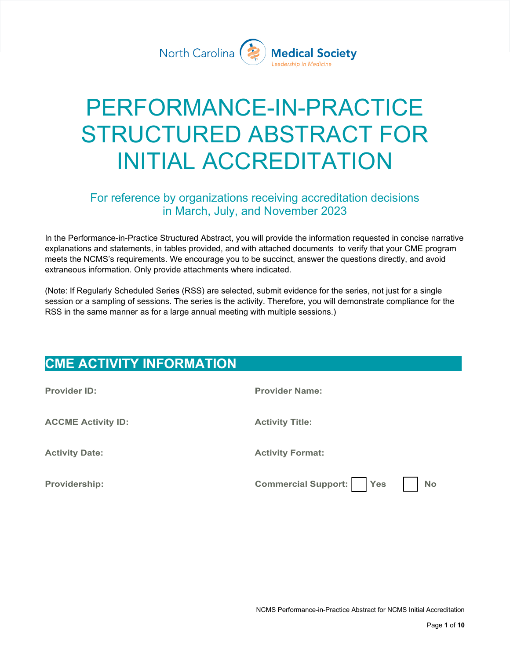

# PERFORMANCE-IN-PRACTICE STRUCTURED ABSTRACT FOR INITIAL ACCREDITATION

# For reference by organizations receiving accreditation decisions in March, July, and November 2023

In the Performance-in-Practice Structured Abstract, you will provide the information requested in concise narrative explanations and statements, in tables provided, and with attached documents to verify that your CME program meets the NCMS's requirements. We encourage you to be succinct, answer the questions directly, and avoid extraneous information. Only provide attachments where indicated.

(Note: If Regularly Scheduled Series (RSS) are selected, submit evidence for the series, not just for a single session or a sampling of sessions. The series is the activity. Therefore, you will demonstrate compliance for the RSS in the same manner as for a large annual meeting with multiple sessions.)

# **CME ACTIVITY INFORMATION**

| <b>Provider ID:</b>       | <b>Provider Name:</b>                       |
|---------------------------|---------------------------------------------|
| <b>ACCME Activity ID:</b> | <b>Activity Title:</b>                      |
| <b>Activity Date:</b>     | <b>Activity Format:</b>                     |
| Providership:             | <b>Commercial Support:</b> Yes<br><b>No</b> |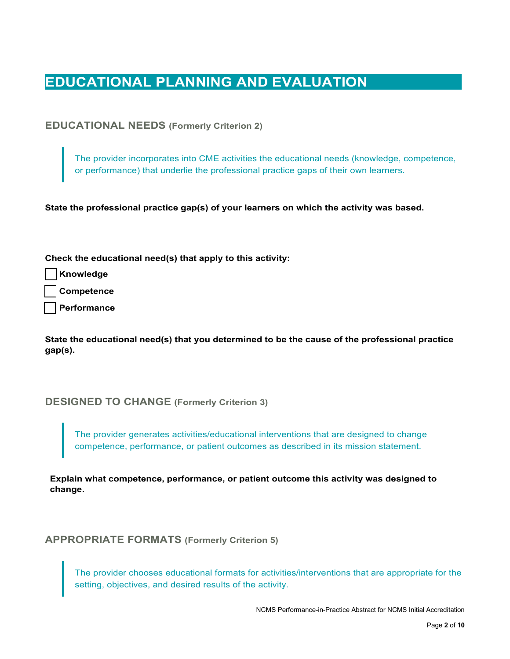# **EDUCATIONAL PLANNING AND EVALUATION**

**EDUCATIONAL NEEDS (Formerly Criterion 2)**

The provider incorporates into CME activities the educational needs (knowledge, competence, or performance) that underlie the professional practice gaps of their own learners.

**State the professional practice gap(s) of your learners on which the activity was based.** 

**Check the educational need(s) that apply to this activity:**

☐ **Knowledge**

☐ **Competence**

☐ **Performance**

**State the educational need(s) that you determined to be the cause of the professional practice gap(s).**

# **DESIGNED TO CHANGE (Formerly Criterion 3)**

The provider generates activities/educational interventions that are designed to change competence, performance, or patient outcomes as described in its mission statement.

**Explain what competence, performance, or patient outcome this activity was designed to change.** 

# **APPROPRIATE FORMATS (Formerly Criterion 5)**

The provider chooses educational formats for activities/interventions that are appropriate for the setting, objectives, and desired results of the activity.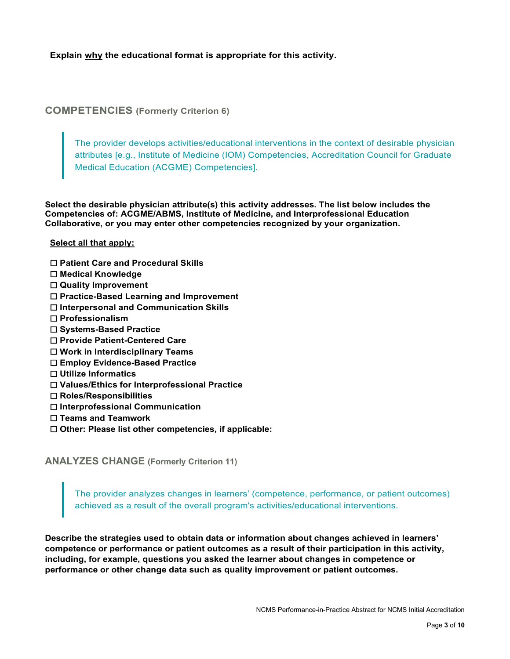**Explain why the educational format is appropriate for this activity.** 

## **COMPETENCIES (Formerly Criterion 6)**

The provider develops activities/educational interventions in the context of desirable physician attributes [e.g., Institute of Medicine (IOM) Competencies, Accreditation Council for Graduate Medical Education (ACGME) Competencies].

**Select the desirable physician attribute(s) this activity addresses. The list below includes the Competencies of: ACGME/ABMS, Institute of Medicine, and Interprofessional Education Collaborative, or you may enter other competencies recognized by your organization.**

#### **Select all that apply:**

- ☐ **Patient Care and Procedural Skills**
- ☐ **Medical Knowledge**
- ☐ **Quality Improvement**
- ☐ **Practice-Based Learning and Improvement**
- ☐ **Interpersonal and Communication Skills**
- ☐ **Professionalism**
- ☐ **Systems-Based Practice**
- ☐ **Provide Patient-Centered Care**
- ☐ **Work in Interdisciplinary Teams**
- ☐ **Employ Evidence-Based Practice**
- ☐ **Utilize Informatics**
- ☐ **Values/Ethics for Interprofessional Practice**
- ☐ **Roles/Responsibilities**
- ☐ **Interprofessional Communication**
- ☐ **Teams and Teamwork**
- ☐ **Other: Please list other competencies, if applicable:**

**ANALYZES CHANGE (Formerly Criterion 11)**

The provider analyzes changes in learners' (competence, performance, or patient outcomes) achieved as a result of the overall program's activities/educational interventions.

**Describe the strategies used to obtain data or information about changes achieved in learners' competence or performance or patient outcomes as a result of their participation in this activity, including, for example, questions you asked the learner about changes in competence or performance or other change data such as quality improvement or patient outcomes.**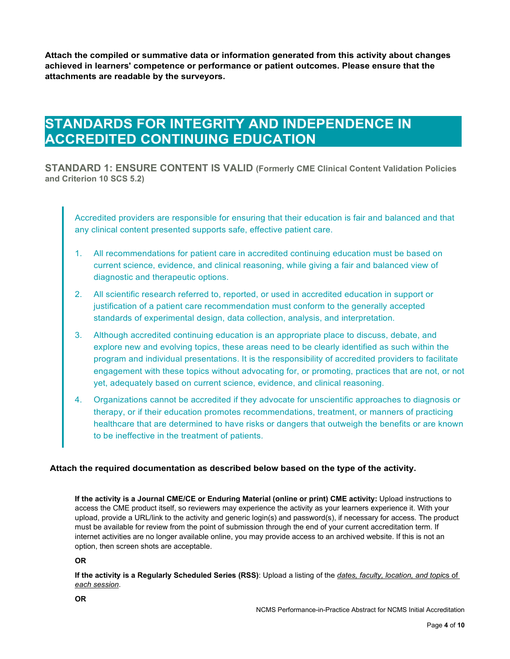**Attach the compiled or summative data or information generated from this activity about changes achieved in learners' competence or performance or patient outcomes. Please ensure that the attachments are readable by the surveyors.**

# **STANDARDS FOR INTEGRITY AND INDEPENDENCE IN ACCREDITED CONTINUING EDUCATION**

**STANDARD 1: ENSURE CONTENT IS VALID (Formerly CME Clinical Content Validation Policies and Criterion 10 SCS 5.2)**

Accredited providers are responsible for ensuring that their education is fair and balanced and that any clinical content presented supports safe, effective patient care.

- 1. All recommendations for patient care in accredited continuing education must be based on current science, evidence, and clinical reasoning, while giving a fair and balanced view of diagnostic and therapeutic options.
- 2. All scientific research referred to, reported, or used in accredited education in support or justification of a patient care recommendation must conform to the generally accepted standards of experimental design, data collection, analysis, and interpretation.
- 3. Although accredited continuing education is an appropriate place to discuss, debate, and explore new and evolving topics, these areas need to be clearly identified as such within the program and individual presentations. It is the responsibility of accredited providers to facilitate engagement with these topics without advocating for, or promoting, practices that are not, or not yet, adequately based on current science, evidence, and clinical reasoning.
- 4. Organizations cannot be accredited if they advocate for unscientific approaches to diagnosis or therapy, or if their education promotes recommendations, treatment, or manners of practicing healthcare that are determined to have risks or dangers that outweigh the benefits or are known to be ineffective in the treatment of patients.

#### **Attach the required documentation as described below based on the type of the activity.**

**If the activity is a Journal CME/CE or Enduring Material (online or print) CME activity:** Upload instructions to access the CME product itself, so reviewers may experience the activity as your learners experience it. With your upload, provide a URL/link to the activity and generic login(s) and password(s), if necessary for access. The product must be available for review from the point of submission through the end of your current accreditation term. If internet activities are no longer available online, you may provide access to an archived website. If this is not an option, then screen shots are acceptable.

#### **OR**

**If the activity is a Regularly Scheduled Series (RSS)**: Upload a listing of the *dates, faculty, location, and topi*cs of *each session*.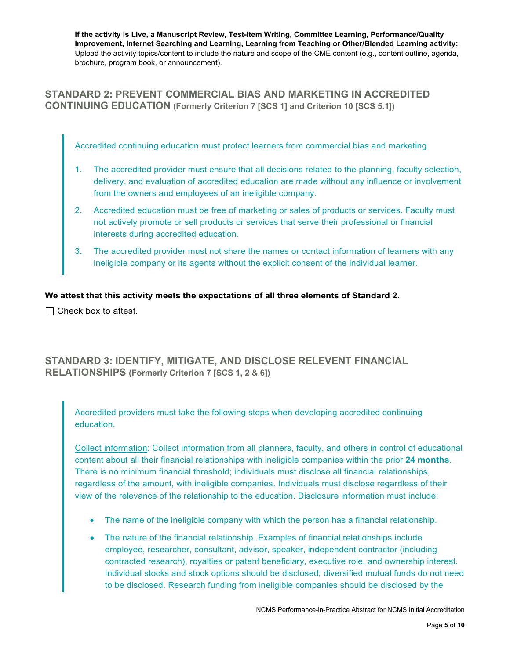**If the activity is Live, a Manuscript Review, Test-Item Writing, Committee Learning, Performance/Quality Improvement, Internet Searching and Learning, Learning from Teaching or Other/Blended Learning activity:** Upload the activity topics/content to include the nature and scope of the CME content (e.g., content outline, agenda, brochure, program book, or announcement).

# **STANDARD 2: PREVENT COMMERCIAL BIAS AND MARKETING IN ACCREDITED CONTINUING EDUCATION (Formerly Criterion 7 [SCS 1] and Criterion 10 [SCS 5.1])**

Accredited continuing education must protect learners from commercial bias and marketing.

- 1. The accredited provider must ensure that all decisions related to the planning, faculty selection, delivery, and evaluation of accredited education are made without any influence or involvement from the owners and employees of an ineligible company.
- 2. Accredited education must be free of marketing or sales of products or services. Faculty must not actively promote or sell products or services that serve their professional or financial interests during accredited education.
- 3. The accredited provider must not share the names or contact information of learners with any ineligible company or its agents without the explicit consent of the individual learner.

## **We attest that this activity meets the expectations of all three elements of Standard 2.**

 $\Box$  Check box to attest.

# **STANDARD 3: IDENTIFY, MITIGATE, AND DISCLOSE RELEVENT FINANCIAL RELATIONSHIPS (Formerly Criterion 7 [SCS 1, 2 & 6])**

Accredited providers must take the following steps when developing accredited continuing education.

Collect information: Collect information from all planners, faculty, and others in control of educational content about all their financial relationships with ineligible companies within the prior **24 months**. There is no minimum financial threshold; individuals must disclose all financial relationships, regardless of the amount, with ineligible companies. Individuals must disclose regardless of their view of the relevance of the relationship to the education. Disclosure information must include:

- The name of the ineligible company with which the person has a financial relationship.
- The nature of the financial relationship. Examples of financial relationships include employee, researcher, consultant, advisor, speaker, independent contractor (including contracted research), royalties or patent beneficiary, executive role, and ownership interest. Individual stocks and stock options should be disclosed; diversified mutual funds do not need to be disclosed. Research funding from ineligible companies should be disclosed by the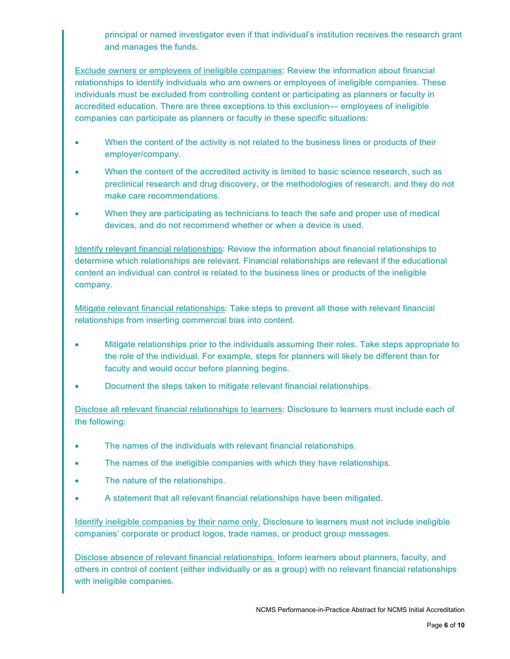principal or named investigator even if that individual's institution receives the research grant and manages the funds.

Exclude owners or employees of ineligible companies: Review the information about financial relationships to identify individuals who are owners or employees of ineligible companies. These individuals must be excluded from controlling content or participating as planners or faculty in accredited education. There are three exceptions to this exclusion— employees of ineligible companies can participate as planners or faculty in these specific situations:

- When the content of the activity is not related to the business lines or products of their employer/company.
- When the content of the accredited activity is limited to basic science research, such as preclinical research and drug discovery, or the methodologies of research, and they do not make care recommendations.
- When they are participating as technicians to teach the safe and proper use of medical devices, and do not recommend whether or when a device is used.

Identify relevant financial relationships: Review the information about financial relationships to determine which relationships are relevant. Financial relationships are relevant if the educational content an individual can control is related to the business lines or products of the ineligible company.

Mitigate relevant financial relationships: Take steps to prevent all those with relevant financial relationships from inserting commercial bias into content.

- Mitigate relationships prior to the individuals assuming their roles. Take steps appropriate to the role of the individual. For example, steps for planners will likely be different than for faculty and would occur before planning begins.
- Document the steps taken to mitigate relevant financial relationships.

Disclose all relevant financial relationships to learners: Disclosure to learners must include each of the following:

- The names of the individuals with relevant financial relationships.
- The names of the ineligible companies with which they have relationships.
- The nature of the relationships.
- A statement that all relevant financial relationships have been mitigated.

Identify ineligible companies by their name only. Disclosure to learners must not include ineligible companies' corporate or product logos, trade names, or product group messages.

Disclose absence of relevant financial relationships. Inform learners about planners, faculty, and others in control of content (either individually or as a group) with no relevant financial relationships with ineligible companies.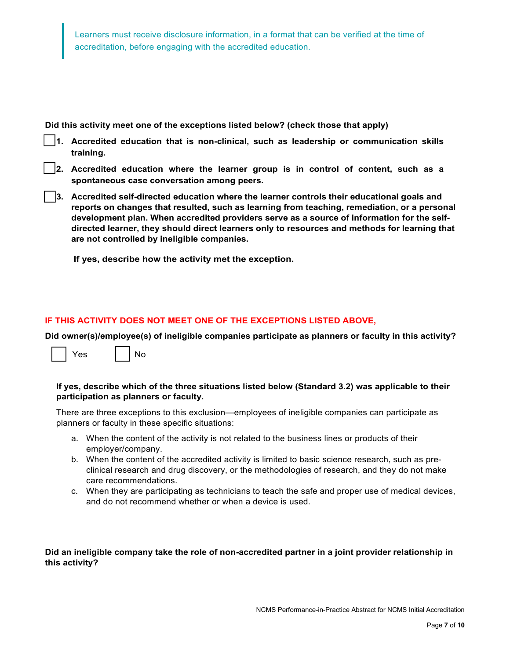Learners must receive disclosure information, in a format that can be verified at the time of accreditation, before engaging with the accredited education.

**Did this activity meet one of the exceptions listed below? (check those that apply)**

- **1. Accredited education that is non-clinical, such as leadership or communication skills training.**
- **2. Accredited education where the learner group is in control of content, such as a spontaneous case conversation among peers.**
- **3. Accredited self-directed education where the learner controls their educational goals and reports on changes that resulted, such as learning from teaching, remediation, or a personal development plan. When accredited providers serve as a source of information for the selfdirected learner, they should direct learners only to resources and methods for learning that are not controlled by ineligible companies.**

**If yes, describe how the activity met the exception.**

# **IF THIS ACTIVITY DOES NOT MEET ONE OF THE EXCEPTIONS LISTED ABOVE,**

**Did owner(s)/employee(s) of ineligible companies participate as planners or faculty in this activity?** 



#### **If yes, describe which of the three situations listed below (Standard 3.2) was applicable to their participation as planners or faculty.**

There are three exceptions to this exclusion—employees of ineligible companies can participate as planners or faculty in these specific situations:

- a. When the content of the activity is not related to the business lines or products of their employer/company.
- b. When the content of the accredited activity is limited to basic science research, such as preclinical research and drug discovery, or the methodologies of research, and they do not make care recommendations.
- c. When they are participating as technicians to teach the safe and proper use of medical devices, and do not recommend whether or when a device is used.

### **Did an ineligible company take the role of non-accredited partner in a joint provider relationship in this activity?**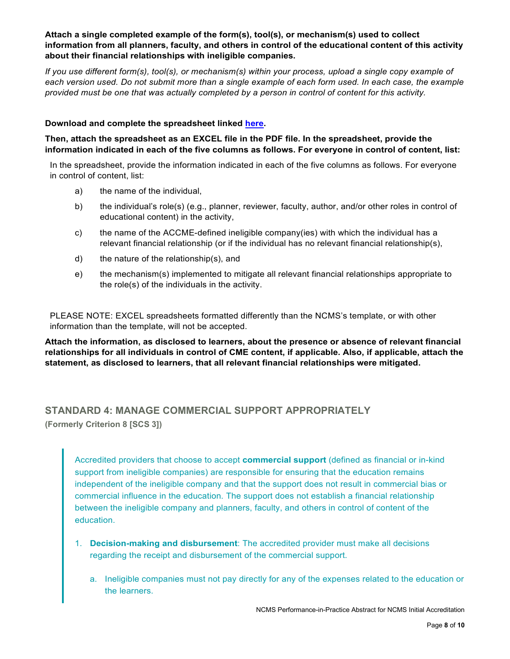### **Attach a single completed example of the form(s), tool(s), or mechanism(s) used to collect information from all planners, faculty, and others in control of the educational content of this activity about their financial relationships with ineligible companies.**

*If you use different form(s), tool(s), or mechanism(s) within your process, upload a single copy example of each version used. Do not submit more than a single example of each form used. In each case, the example provided must be one that was actually completed by a person in control of content for this activity.* 

### **Download and complete the spreadsheet linked [here.](https://accme.org/publications/excel-spreadsheet-for-documenting-individuals-control-content-performance-practice)**

### **Then, attach the spreadsheet as an EXCEL file in the PDF file. In the spreadsheet, provide the information indicated in each of the five columns as follows. For everyone in control of content, list:**

In the spreadsheet, provide the information indicated in each of the five columns as follows. For everyone in control of content, list:

- a) the name of the individual,
- b) the individual's role(s) (e.g., planner, reviewer, faculty, author, and/or other roles in control of educational content) in the activity,
- c) the name of the ACCME-defined ineligible company(ies) with which the individual has a relevant financial relationship (or if the individual has no relevant financial relationship(s),
- d) the nature of the relationship(s), and
- e) the mechanism(s) implemented to mitigate all relevant financial relationships appropriate to the role(s) of the individuals in the activity.

PLEASE NOTE: EXCEL spreadsheets formatted differently than the NCMS's template, or with other information than the template, will not be accepted.

**Attach the information, as disclosed to learners, about the presence or absence of relevant financial relationships for all individuals in control of CME content, if applicable. Also, if applicable, attach the statement, as disclosed to learners, that all relevant financial relationships were mitigated.**

# **STANDARD 4: MANAGE COMMERCIAL SUPPORT APPROPRIATELY (Formerly Criterion 8 [SCS 3])**

Accredited providers that choose to accept **commercial support** (defined as financial or in-kind support from ineligible companies) are responsible for ensuring that the education remains independent of the ineligible company and that the support does not result in commercial bias or commercial influence in the education. The support does not establish a financial relationship between the ineligible company and planners, faculty, and others in control of content of the education.

- 1. **Decision-making and disbursement**: The accredited provider must make all decisions regarding the receipt and disbursement of the commercial support.
	- a. Ineligible companies must not pay directly for any of the expenses related to the education or the learners.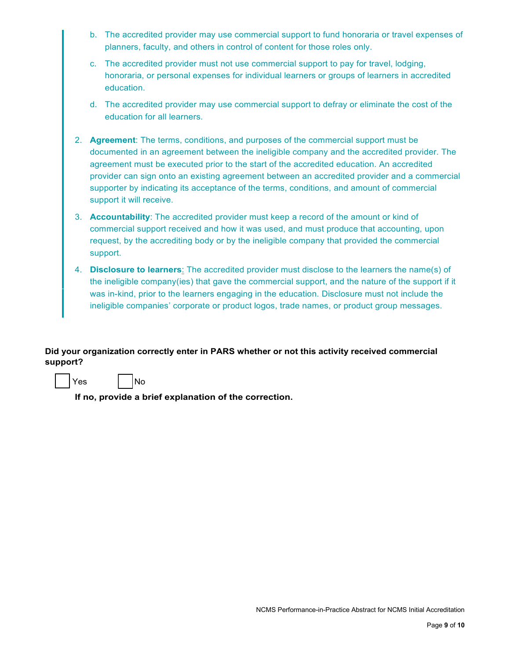- b. The accredited provider may use commercial support to fund honoraria or travel expenses of planners, faculty, and others in control of content for those roles only.
- c. The accredited provider must not use commercial support to pay for travel, lodging, honoraria, or personal expenses for individual learners or groups of learners in accredited education.
- d. The accredited provider may use commercial support to defray or eliminate the cost of the education for all learners.
- 2. **Agreement**: The terms, conditions, and purposes of the commercial support must be documented in an agreement between the ineligible company and the accredited provider. The agreement must be executed prior to the start of the accredited education. An accredited provider can sign onto an existing agreement between an accredited provider and a commercial supporter by indicating its acceptance of the terms, conditions, and amount of commercial support it will receive.
- 3. **Accountability**: The accredited provider must keep a record of the amount or kind of commercial support received and how it was used, and must produce that accounting, upon request, by the accrediting body or by the ineligible company that provided the commercial support.
- 4. **Disclosure to learners**: The accredited provider must disclose to the learners the name(s) of the ineligible company(ies) that gave the commercial support, and the nature of the support if it was in-kind, prior to the learners engaging in the education. Disclosure must not include the ineligible companies' corporate or product logos, trade names, or product group messages.

**Did your organization correctly enter in PARS whether or not this activity received commercial support?** 

| Yes | lNo |
|-----|-----|
|-----|-----|

**If no, provide a brief explanation of the correction.**